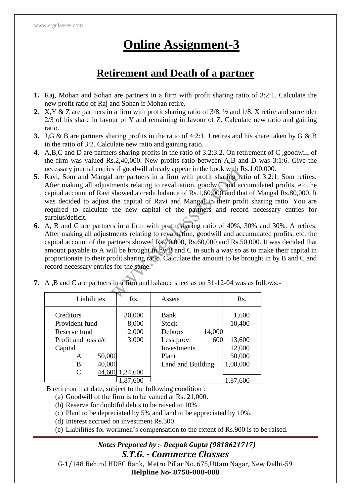# **Online Assignment-3**

## **Retirement and Death of a partner**

- **1.** Raj, Mohan and Sohan are partners in a firm with profit sharing ratio of 3:2:1. Calculate the new profit ratio of Raj and Sohan if Mohan retire.
- **2.** X,Y & Z are partners in a firm with profit sharing ratio of 3/8, ½ and 1/8. X retire and surrender 2/3 of his share in favour of Y and remaining in favour of Z. Calculate new ratio and gaining ratio.
- **3.** J,G & B are partners sharing profits in the ratio of 4:2:1. J retires and his share taken by G & B in the ratio of 3:2. Calculate new ratio and gaining ratio.
- **4.** A,B,C and D are partners sharing profits in the ratio of 3:2:3:2. On retirement of C ,goodwill of the firm was valued Rs.2,40,000. New profits ratio between A,B and D was 3:1:6. Give the necessary journal entries if goodwill already appear in the book with Rs.1,00,000.
- **5.** Ravi, Som and Mangal are partners in a firm with profit sharing ratio of 3:2:1. Som retires. After making all adjustments relating to revaluation, goodwill and accumulated profits, etc.the capital account of Ravi showed a credit balance of Rs.1,60,000 and that of Mangal Rs.80,000. It was decided to adjust the capital of Ravi and Mangal in their profit sharing ratio. You are required to calculate the new capital of the partners and record necessary entries for surplus/deficit.
- **6.** A, B and C are partners in a firm with profit sharing ratio of 40%, 30% and 30%. A retires. After making all adjustments relating to revaluation, goodwill and accumulated profits, etc. the capital account of the partners showed Rs.70,000, Rs.60,000 and Rs.50,000. It was decided that amount payable to A will be brought in by B and C in such a way so as to make their capital in proportionate to their profit sharing ratio. Calculate the amount to be brought in by B and C and record necessary entries for the same.

| Liabilities                                 | Rs.                       | Assets                                           | Rs.             |
|---------------------------------------------|---------------------------|--------------------------------------------------|-----------------|
| Creditors<br>Provident fund<br>Reserve fund | 30,000<br>8,000<br>12,000 | Bank<br><b>Stock</b><br>14,000<br><b>Debtors</b> | 1,600<br>10,400 |
| Profit and loss $a/c$                       | 3,000                     | 600<br>Less: prov.                               | 13,600          |
| Capital                                     |                           | <b>Investments</b>                               | 12,000          |
| 50,000<br>А                                 |                           | Plant                                            | 50,000          |
| 40,000<br>B                                 |                           | Land and Building                                | 1,00,000        |
| C                                           | 44,600 1,34,600           |                                                  |                 |
|                                             |                           |                                                  |                 |

**7.** A ,B and C are partners in a firm and balance sheet as on 31-12-04 was as follows:-

B retire on that date, subject to the following condition :

- (a) Goodwill of the firm is to be valued at Rs. 21,000.
- (b) Reserve for doubtful debts to be raised to 10%.
- (c) Plant to be depreciated by 5% and land to be appreciated by 10%.
- (d) Interest accrued on investment Rs.500.
- (e) Liabilities for workmen's compensation to the extent of Rs.900 is to be raised.

#### *Notes Prepared by :- Deepak Gupta (9818621717) S.T.G. - Commerce Classes*

G-1/148 Behind HDFC Bank, Metro Pillar No. 675,Uttam Nagar, New Delhi-59 **Helpline No- 8750-008-008**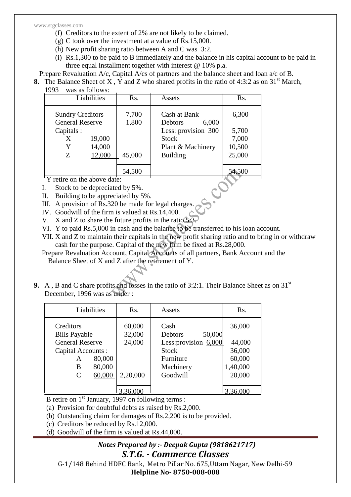www.stgclasses.com

- (f) Creditors to the extent of 2% are not likely to be claimed.
- (g) C took over the investment at a value of Rs.15,000.
- (h) New profit sharing ratio between A and C was 3:2.
- (i) Rs.1,300 to be paid to B immediately and the balance in his capital account to be paid in three equal installment together with interest @ 10% p.a.

Prepare Revaluation A/c, Capital A/cs of partners and the balance sheet and loan a/c of B.

- **8.** The Balance Sheet of X, Y and Z who shared profits in the ratio of 4:3:2 as on  $31<sup>st</sup>$  March,
	- 1993 was as follows:

|                                                                          | Liabilities      | Rs.            | Assets                                                                                              | Rs.                               |
|--------------------------------------------------------------------------|------------------|----------------|-----------------------------------------------------------------------------------------------------|-----------------------------------|
| <b>Sundry Creditors</b><br><b>General Reserve</b><br>Capitals:<br>X<br>Y | 19,000<br>14,000 | 7,700<br>1,800 | Cash at Bank<br>6,000<br><b>Debtors</b><br>Less: provision 300<br><b>Stock</b><br>Plant & Machinery | 6,300<br>5,700<br>7,000<br>10,500 |
| Ζ                                                                        | 12,000           | 45,000         | <b>Building</b>                                                                                     | 25,000                            |
|                                                                          |                  | 54,500         |                                                                                                     | 54,500                            |
| 'Y retire on the above date:                                             |                  |                |                                                                                                     |                                   |
| Stock to be depreciated by 5%.                                           |                  |                |                                                                                                     |                                   |
| Building to be appreciated by 5%.<br>Π.                                  |                  |                |                                                                                                     |                                   |
| A provision of Rs.320 be made for legal charges.<br>Ш.                   |                  |                |                                                                                                     |                                   |
| $W_{\alpha}$ Coodwill of the firm is velved at $D_{\alpha}$ 14.400       |                  |                |                                                                                                     |                                   |

- I. Stock to be depreciated by 5%.
- II. Building to be appreciated by 5%.
- III. A provision of Rs.320 be made for legal charges.
- IV. Goodwill of the firm is valued at Rs.14,400.
- V. X and Z to share the future profits in the ratio 5:3.
- VI. Y to paid Rs.5,000 in cash and the balance to be transferred to his loan account.
- VII. X and Z to maintain their capitals in the new profit sharing ratio and to bring in or withdraw cash for the purpose. Capital of the new firm be fixed at Rs.28,000.
- Prepare Revaluation Account, Capital Accounts of all partners, Bank Account and the Balance Sheet of X and Z after the retirement of Y.
- **9.** A, B and C share profits and losses in the ratio of 3:2:1. Their Balance Sheet as on 31<sup>st</sup> December, 1996 was as under :

| Liabilities                                                                                                                                | Rs.                                    | Assets                                                                                                   | Rs.                                                        |
|--------------------------------------------------------------------------------------------------------------------------------------------|----------------------------------------|----------------------------------------------------------------------------------------------------------|------------------------------------------------------------|
| Creditors<br><b>Bills Payable</b><br><b>General Reserve</b><br>Capital Accounts :<br>80,000<br>A<br>80,000<br>В<br>60,000<br>$\mathcal{C}$ | 60,000<br>32,000<br>24,000<br>2,20,000 | Cash<br>50,000<br>Debtors<br>Less: provision 6,000<br><b>Stock</b><br>Furniture<br>Machinery<br>Goodwill | 36,000<br>44,000<br>36,000<br>60,000<br>1,40,000<br>20,000 |
|                                                                                                                                            | 3,36,000                               |                                                                                                          | 3,36,000                                                   |

B retire on  $1<sup>st</sup>$  January, 1997 on following terms :

(a) Provision for doubtful debts as raised by Rs.2,000.

(b) Outstanding claim for damages of Rs.2,200 is to be provided.

- (c) Creditors be reduced by Rs.12,000.
- (d) Goodwill of the firm is valued at Rs.44,000.

### *Notes Prepared by :- Deepak Gupta (9818621717)*

### *S.T.G. - Commerce Classes*

G-1/148 Behind HDFC Bank, Metro Pillar No. 675,Uttam Nagar, New Delhi-59

**Helpline No- 8750-008-008**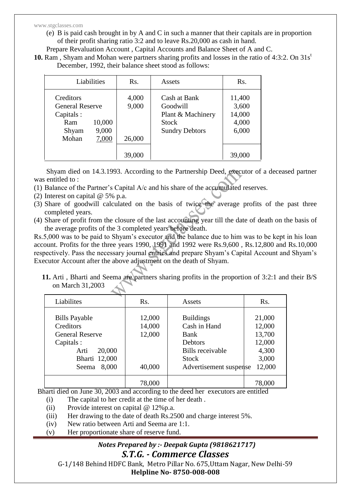#### www.stgclasses.com

- (e) B is paid cash brought in by A and C in such a manner that their capitals are in proportion of their profit sharing ratio 3:2 and to leave Rs.20,000 as cash in hand.
- Prepare Revaluation Account , Capital Accounts and Balance Sheet of A and C.
- **10.** Ram, Shyam and Mohan were partners sharing profits and losses in the ratio of 4:3:2. On 31s<sup>t</sup> December, 1992, their balance sheet stood as follows:

| Liabilities                                                                                           | Rs.                                | Assets                                                                                 | Rs.                                                   |
|-------------------------------------------------------------------------------------------------------|------------------------------------|----------------------------------------------------------------------------------------|-------------------------------------------------------|
| Creditors<br><b>General Reserve</b><br>Capitals:<br>10,000<br>Ram<br>9,000<br>Shyam<br>7,000<br>Mohan | 4,000<br>9,000<br>26,000<br>39,000 | Cash at Bank<br>Goodwill<br>Plant & Machinery<br><b>Stock</b><br><b>Sundry Debtors</b> | 11,400<br>3,600<br>14,000<br>4,000<br>6,000<br>39,000 |

 Shyam died on 14.3.1993. According to the Partnership Deed, executor of a deceased partner was entitled to :

- (1) Balance of the Partner's Capital A/c and his share of the accumulated reserves.
- (2) Interest on capital @ 5% p.a.
- (3) Share of goodwill calculated on the basis of twice the average profits of the past three completed years.
- (4) Share of profit from the closure of the last accounting year till the date of death on the basis of the average profits of the 3 completed years before death.

Rs.5,000 was to be paid to Shyam's executor and the balance due to him was to be kept in his loan account. Profits for the three years 1990, 1991 and 1992 were Rs.9,600 , Rs.12,800 and Rs.10,000 respectively. Pass the necessary journal entries and prepare Shyam's Capital Account and Shyam's Executor Account after the above adjustment on the death of Shyam.

**11.** Arti , Bharti and Seema are partners sharing profits in the proportion of 3:2:1 and their B/S on March 31,2003

| Liabilites                                                                                                                     | Rs.                                  | Assets                                                                                                                          | Rs.                                                              |
|--------------------------------------------------------------------------------------------------------------------------------|--------------------------------------|---------------------------------------------------------------------------------------------------------------------------------|------------------------------------------------------------------|
| <b>Bills Payable</b><br>Creditors<br><b>General Reserve</b><br>Capitals :<br>20,000<br>Arti<br>Bharti 12,000<br>8,000<br>Seema | 12,000<br>14,000<br>12,000<br>40,000 | <b>Buildings</b><br>Cash in Hand<br><b>Bank</b><br>Debtors<br><b>Bills</b> receivable<br><b>Stock</b><br>Advertisement suspense | 21,000<br>12,000<br>13,700<br>12,000<br>4,300<br>3,000<br>12,000 |
|                                                                                                                                | 78,000                               |                                                                                                                                 | 78,000                                                           |

Bharti died on June 30, 2003 and according to the deed her executors are entitled

- (i) The capital to her credit at the time of her death .
- (ii) Provide interest on capital @ 12%p.a.
- (iii) Her drawing to the date of death Rs.2500 and charge interest 5%.
- (iv) New ratio between Arti and Seema are 1:1.
- (v) Her proportionate share of reserve fund.

#### *Notes Prepared by :- Deepak Gupta (9818621717) S.T.G. - Commerce Classes*

G-1/148 Behind HDFC Bank, Metro Pillar No. 675,Uttam Nagar, New Delhi-59 **Helpline No- 8750-008-008**